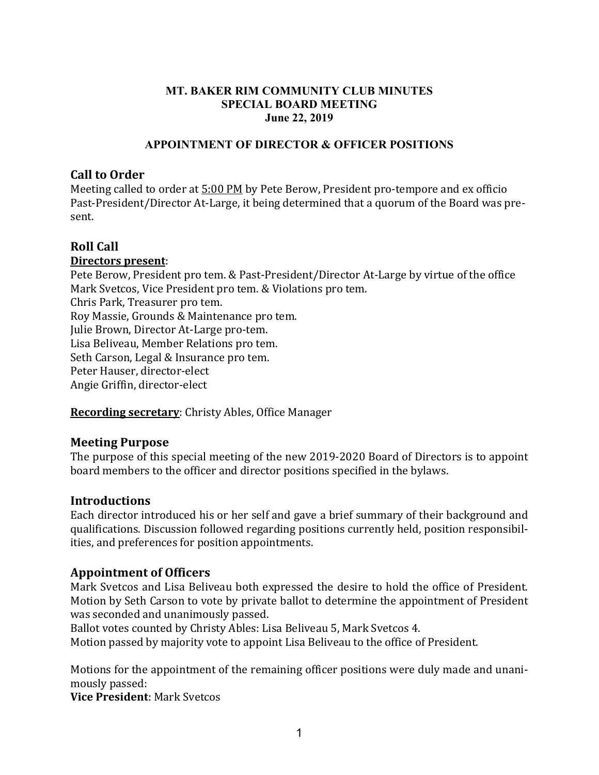### **MT. BAKER RIM COMMUNITY CLUB MINUTES SPECIAL BOARD MEETING June 22, 2019**

### **APPOINTMENT OF DIRECTOR & OFFICER POSITIONS**

# **Call to Order**

Meeting called to order at 5:00 PM by Pete Berow, President pro-tempore and ex officio Past-President/Director At-Large, it being determined that a quorum of the Board was present.

# **Roll Call**

#### **Directors present**:

Pete Berow, President pro tem. & Past-President/Director At-Large by virtue of the office Mark Svetcos, Vice President pro tem. & Violations pro tem. Chris Park, Treasurer pro tem. Roy Massie, Grounds & Maintenance pro tem. Julie Brown, Director At-Large pro-tem. Lisa Beliveau, Member Relations pro tem. Seth Carson, Legal & Insurance pro tem. Peter Hauser, director-elect Angie Griffin, director-elect

**Recording secretary**: Christy Ables, Office Manager

### **Meeting Purpose**

The purpose of this special meeting of the new 2019-2020 Board of Directors is to appoint board members to the officer and director positions specified in the bylaws.

### **Introductions**

Each director introduced his or her self and gave a brief summary of their background and qualifications. Discussion followed regarding positions currently held, position responsibilities, and preferences for position appointments.

# **Appointment of Officers**

Mark Svetcos and Lisa Beliveau both expressed the desire to hold the office of President. Motion by Seth Carson to vote by private ballot to determine the appointment of President was seconded and unanimously passed.

Ballot votes counted by Christy Ables: Lisa Beliveau 5, Mark Svetcos 4.

Motion passed by majority vote to appoint Lisa Beliveau to the office of President.

Motions for the appointment of the remaining officer positions were duly made and unanimously passed:

**Vice President**: Mark Svetcos